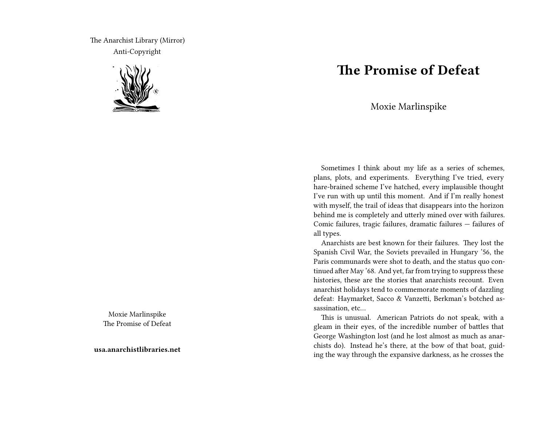The Anarchist Library (Mirror) Anti-Copyright



Moxie Marlinspike The Promise of Defeat

**usa.anarchistlibraries.net**

## **The Promise of Defeat**

Moxie Marlinspike

Sometimes I think about my life as a series of schemes, plans, plots, and experiments. Everything I've tried, every hare-brained scheme I've hatched, every implausible thought I've run with up until this moment. And if I'm really honest with myself, the trail of ideas that disappears into the horizon behind me is completely and utterly mined over with failures. Comic failures, tragic failures, dramatic failures — failures of all types.

Anarchists are best known for their failures. They lost the Spanish Civil War, the Soviets prevailed in Hungary '56, the Paris communards were shot to death, and the status quo continued after May '68. And yet, far from trying to suppress these histories, these are the stories that anarchists recount. Even anarchist holidays tend to commemorate moments of dazzling defeat: Haymarket, Sacco & Vanzetti, Berkman's botched assassination, etc…

This is unusual. American Patriots do not speak, with a gleam in their eyes, of the incredible number of battles that George Washington lost (and he lost almost as much as anarchists do). Instead he's there, at the bow of that boat, guiding the way through the expansive darkness, as he crosses the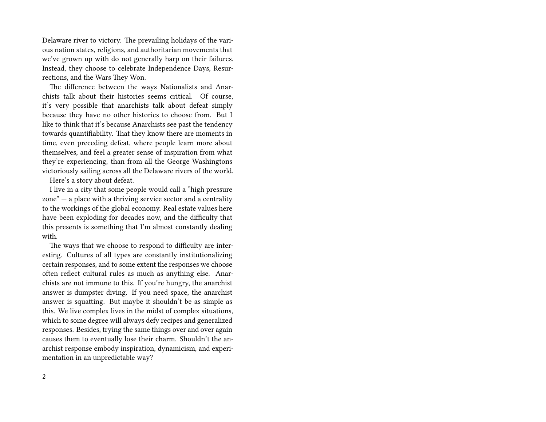Delaware river to victory. The prevailing holidays of the various nation states, religions, and authoritarian movements that we've grown up with do not generally harp on their failures. Instead, they choose to celebrate Independence Days, Resurrections, and the Wars They Won.

The difference between the ways Nationalists and Anarchists talk about their histories seems critical. Of course, it's very possible that anarchists talk about defeat simply because they have no other histories to choose from. But I like to think that it's because Anarchists see past the tendency towards quantifiability. That they know there are moments in time, even preceding defeat, where people learn more about themselves, and feel a greater sense of inspiration from what they're experiencing, than from all the George Washingtons victoriously sailing across all the Delaware rivers of the world.

Here's a story about defeat.

I live in a city that some people would call a "high pressure zone" — a place with a thriving service sector and a centrality to the workings of the global economy. Real estate values here have been exploding for decades now, and the difficulty that this presents is something that I'm almost constantly dealing with.

The ways that we choose to respond to difficulty are interesting. Cultures of all types are constantly institutionalizing certain responses, and to some extent the responses we choose often reflect cultural rules as much as anything else. Anarchists are not immune to this. If you're hungry, the anarchist answer is dumpster diving. If you need space, the anarchist answer is squatting. But maybe it shouldn't be as simple as this. We live complex lives in the midst of complex situations, which to some degree will always defy recipes and generalized responses. Besides, trying the same things over and over again causes them to eventually lose their charm. Shouldn't the anarchist response embody inspiration, dynamicism, and experimentation in an unpredictable way?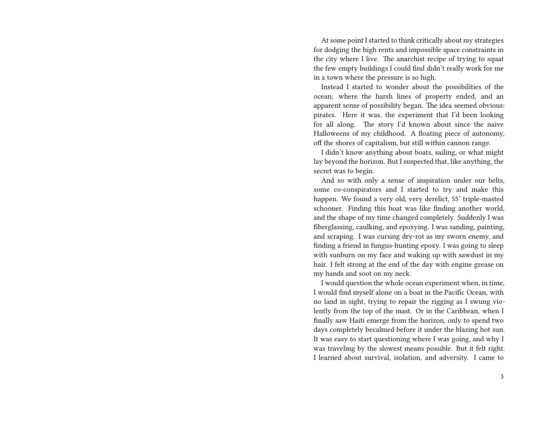At some point I started to think critically about my strategies for dodging the high rents and impossible space constraints in the city where I live. The anarchist recipe of trying to squat the few empty buildings I could find didn't really work for me in a town where the pressure is so high.

Instead I started to wonder about the possibilities of the ocean; where the harsh lines of property ended, and an apparent sense of possibility began. The idea seemed obvious: pirates. Here it was, the experiment that I'd been looking for all along. The story I'd known about since the naive Halloweens of my childhood. A floating piece of autonomy, off the shores of capitalism, but still within cannon range.

I didn't know anything about boats, sailing, or what might lay beyond the horizon. But I suspected that, like anything, the secret was to begin.

And so with only a sense of inspiration under our belts, some co-conspirators and I started to try and make this happen. We found a very old, very derelict, 55' triple-masted schooner. Finding this boat was like finding another world, and the shape of my time changed completely. Suddenly I was fiberglassing, caulking, and epoxying. I was sanding, painting, and scraping. I was cursing dry-rot as my sworn enemy, and finding a friend in fungus-hunting epoxy. I was going to sleep with sunburn on my face and waking up with sawdust in my hair. I felt strong at the end of the day with engine grease on my hands and soot on my neck.

I would question the whole ocean experiment when, in time, I would find myself alone on a boat in the Pacific Ocean, with no land in sight, trying to repair the rigging as I swung violently from the top of the mast. Or in the Caribbean, when I finally saw Haiti emerge from the horizon, only to spend two days completely becalmed before it under the blazing hot sun. It was easy to start questioning where I was going, and why I was traveling by the slowest means possible. But it felt right. I learned about survival, isolation, and adversity. I came to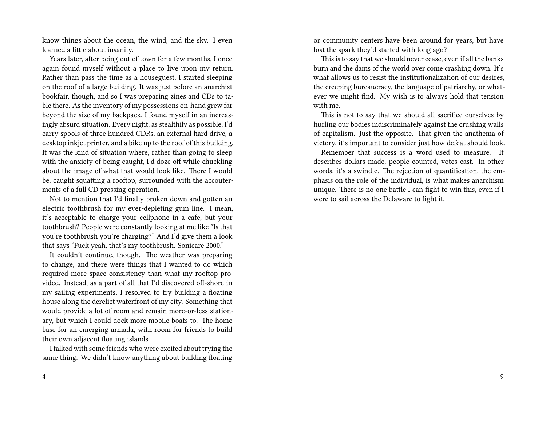know things about the ocean, the wind, and the sky. I even learned a little about insanity.

Years later, after being out of town for a few months, I once again found myself without a place to live upon my return. Rather than pass the time as a houseguest, I started sleeping on the roof of a large building. It was just before an anarchist bookfair, though, and so I was preparing zines and CDs to table there. As the inventory of my possessions on-hand grew far beyond the size of my backpack, I found myself in an increasingly absurd situation. Every night, as stealthily as possible, I'd carry spools of three hundred CDRs, an external hard drive, a desktop inkjet printer, and a bike up to the roof of this building. It was the kind of situation where, rather than going to sleep with the anxiety of being caught, I'd doze off while chuckling about the image of what that would look like. There I would be, caught squatting a rooftop, surrounded with the accouterments of a full CD pressing operation.

Not to mention that I'd finally broken down and gotten an electric toothbrush for my ever-depleting gum line. I mean, it's acceptable to charge your cellphone in a cafe, but your toothbrush? People were constantly looking at me like "Is that you're toothbrush you're charging?" And I'd give them a look that says "Fuck yeah, that's my toothbrush. Sonicare 2000."

It couldn't continue, though. The weather was preparing to change, and there were things that I wanted to do which required more space consistency than what my rooftop provided. Instead, as a part of all that I'd discovered off-shore in my sailing experiments, I resolved to try building a floating house along the derelict waterfront of my city. Something that would provide a lot of room and remain more-or-less stationary, but which I could dock more mobile boats to. The home base for an emerging armada, with room for friends to build their own adjacent floating islands.

I talked with some friends who were excited about trying the same thing. We didn't know anything about building floating

4

or community centers have been around for years, but have lost the spark they'd started with long ago?

This is to say that we should never cease, even if all the banks burn and the dams of the world over come crashing down. It's what allows us to resist the institutionalization of our desires, the creeping bureaucracy, the language of patriarchy, or whatever we might find. My wish is to always hold that tension with me.

This is not to say that we should all sacrifice ourselves by hurling our bodies indiscriminately against the crushing walls of capitalism. Just the opposite. That given the anathema of victory, it's important to consider just how defeat should look.

Remember that success is a word used to measure. It describes dollars made, people counted, votes cast. In other words, it's a swindle. The rejection of quantification, the emphasis on the role of the individual, is what makes anarchism unique. There is no one battle I can fight to win this, even if I were to sail across the Delaware to fight it.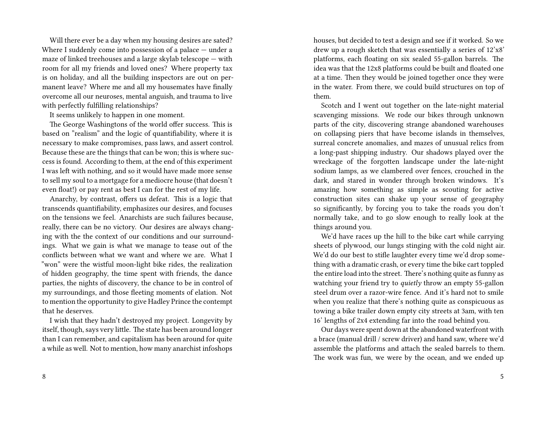Will there ever be a day when my housing desires are sated? Where I suddenly come into possession of a palace — under a maze of linked treehouses and a large skylab telescope — with room for all my friends and loved ones? Where property tax is on holiday, and all the building inspectors are out on permanent leave? Where me and all my housemates have finally overcome all our neuroses, mental anguish, and trauma to live with perfectly fulfilling relationships?

It seems unlikely to happen in one moment.

The George Washingtons of the world offer success. This is based on "realism" and the logic of quantifiability, where it is necessary to make compromises, pass laws, and assert control. Because these are the things that can be won; this is where success is found. According to them, at the end of this experiment I was left with nothing, and so it would have made more sense to sell my soul to a mortgage for a mediocre house (that doesn't even float!) or pay rent as best I can for the rest of my life.

Anarchy, by contrast, offers us defeat. This is a logic that transcends quantifiability, emphasizes our desires, and focuses on the tensions we feel. Anarchists are such failures because, really, there can be no victory. Our desires are always changing with the the context of our conditions and our surroundings. What we gain is what we manage to tease out of the conflicts between what we want and where we are. What I "won" were the wistful moon-light bike rides, the realization of hidden geography, the time spent with friends, the dance parties, the nights of discovery, the chance to be in control of my surroundings, and those fleeting moments of elation. Not to mention the opportunity to give Hadley Prince the contempt that he deserves.

I wish that they hadn't destroyed my project. Longevity by itself, though, says very little. The state has been around longer than I can remember, and capitalism has been around for quite a while as well. Not to mention, how many anarchist infoshops houses, but decided to test a design and see if it worked. So we drew up a rough sketch that was essentially a series of 12'x8' platforms, each floating on six sealed 55-gallon barrels. The idea was that the 12x8 platforms could be built and floated one at a time. Then they would be joined together once they were in the water. From there, we could build structures on top of them.

Scotch and I went out together on the late-night material scavenging missions. We rode our bikes through unknown parts of the city, discovering strange abandoned warehouses on collapsing piers that have become islands in themselves, surreal concrete anomalies, and mazes of unusual relics from a long-past shipping industry. Our shadows played over the wreckage of the forgotten landscape under the late-night sodium lamps, as we clambered over fences, crouched in the dark, and stared in wonder through broken windows. It's amazing how something as simple as scouting for active construction sites can shake up your sense of geography so significantly, by forcing you to take the roads you don't normally take, and to go slow enough to really look at the things around you.

We'd have races up the hill to the bike cart while carrying sheets of plywood, our lungs stinging with the cold night air. We'd do our best to stifle laughter every time we'd drop something with a dramatic crash, or every time the bike cart toppled the entire load into the street. There's nothing quite as funny as watching your friend try to *quietly* throw an empty 55-gallon steel drum over a razor-wire fence. And it's hard not to smile when you realize that there's nothing quite as conspicuous as towing a bike trailer down empty city streets at 3am, with ten 16' lengths of 2x4 extending far into the road behind you.

Our days were spent down at the abandoned waterfront with a brace (manual drill / screw driver) and hand saw, where we'd assemble the platforms and attach the sealed barrels to them. The work was fun, we were by the ocean, and we ended up